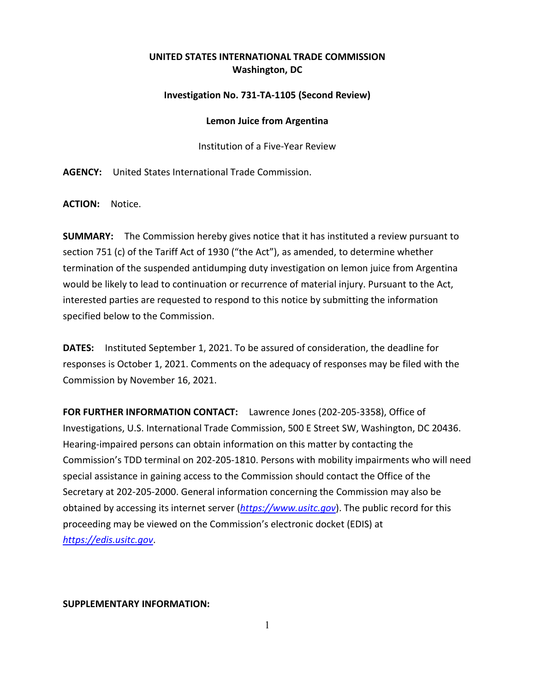## **UNITED STATES INTERNATIONAL TRADE COMMISSION Washington, DC**

## **Investigation No. 731-TA-1105 (Second Review)**

## **Lemon Juice from Argentina**

Institution of a Five-Year Review

**AGENCY:** United States International Trade Commission.

**ACTION:** Notice.

**SUMMARY:** The Commission hereby gives notice that it has instituted a review pursuant to section 751 (c) of the Tariff Act of 1930 ("the Act"), as amended, to determine whether termination of the suspended antidumping duty investigation on lemon juice from Argentina would be likely to lead to continuation or recurrence of material injury. Pursuant to the Act, interested parties are requested to respond to this notice by submitting the information specified below to the Commission.

**DATES:** Instituted September 1, 2021. To be assured of consideration, the deadline for responses is October 1, 2021. Comments on the adequacy of responses may be filed with the Commission by November 16, 2021.

**FOR FURTHER INFORMATION CONTACT:** Lawrence Jones (202-205-3358), Office of Investigations, U.S. International Trade Commission, 500 E Street SW, Washington, DC 20436. Hearing-impaired persons can obtain information on this matter by contacting the Commission's TDD terminal on 202-205-1810. Persons with mobility impairments who will need special assistance in gaining access to the Commission should contact the Office of the Secretary at 202-205-2000. General information concerning the Commission may also be obtained by accessing its internet server (*[https://www.usitc.gov](https://www.usitc.gov/)*). The public record for this proceeding may be viewed on the Commission's electronic docket (EDIS) at *[https://edis.usitc.gov](https://edis.usitc.gov/)*.

**SUPPLEMENTARY INFORMATION:**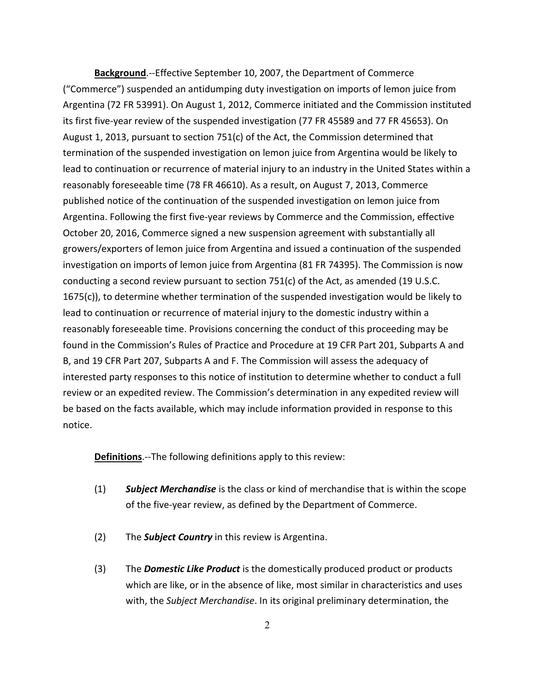**Background**.--Effective September 10, 2007, the Department of Commerce ("Commerce") suspended an antidumping duty investigation on imports of lemon juice from Argentina (72 FR 53991). On August 1, 2012, Commerce initiated and the Commission instituted its first five-year review of the suspended investigation (77 FR 45589 and 77 FR 45653). On August 1, 2013, pursuant to section 751(c) of the Act, the Commission determined that termination of the suspended investigation on lemon juice from Argentina would be likely to lead to continuation or recurrence of material injury to an industry in the United States within a reasonably foreseeable time (78 FR 46610). As a result, on August 7, 2013, Commerce published notice of the continuation of the suspended investigation on lemon juice from Argentina. Following the first five-year reviews by Commerce and the Commission, effective October 20, 2016, Commerce signed a new suspension agreement with substantially all growers/exporters of lemon juice from Argentina and issued a continuation of the suspended investigation on imports of lemon juice from Argentina (81 FR 74395). The Commission is now conducting a second review pursuant to section 751(c) of the Act, as amended (19 U.S.C. 1675(c)), to determine whether termination of the suspended investigation would be likely to lead to continuation or recurrence of material injury to the domestic industry within a reasonably foreseeable time. Provisions concerning the conduct of this proceeding may be found in the Commission's Rules of Practice and Procedure at 19 CFR Part 201, Subparts A and B, and 19 CFR Part 207, Subparts A and F. The Commission will assess the adequacy of interested party responses to this notice of institution to determine whether to conduct a full review or an expedited review. The Commission's determination in any expedited review will be based on the facts available, which may include information provided in response to this notice.

**Definitions**.--The following definitions apply to this review:

- (1) *Subject Merchandise* is the class or kind of merchandise that is within the scope of the five-year review, as defined by the Department of Commerce.
- (2) The *Subject Country* in this review is Argentina.
- (3) The *Domestic Like Product* is the domestically produced product or products which are like, or in the absence of like, most similar in characteristics and uses with, the *Subject Merchandise*. In its original preliminary determination, the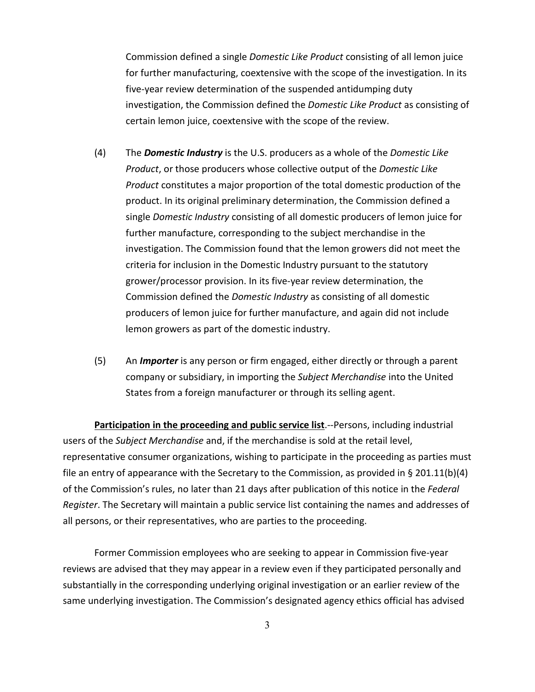Commission defined a single *Domestic Like Product* consisting of all lemon juice for further manufacturing, coextensive with the scope of the investigation. In its five-year review determination of the suspended antidumping duty investigation, the Commission defined the *Domestic Like Product* as consisting of certain lemon juice, coextensive with the scope of the review.

- (4) The *Domestic Industry* is the U.S. producers as a whole of the *Domestic Like Product*, or those producers whose collective output of the *Domestic Like Product* constitutes a major proportion of the total domestic production of the product. In its original preliminary determination, the Commission defined a single *Domestic Industry* consisting of all domestic producers of lemon juice for further manufacture, corresponding to the subject merchandise in the investigation. The Commission found that the lemon growers did not meet the criteria for inclusion in the Domestic Industry pursuant to the statutory grower/processor provision. In its five-year review determination, the Commission defined the *Domestic Industry* as consisting of all domestic producers of lemon juice for further manufacture, and again did not include lemon growers as part of the domestic industry.
- (5) An *Importer* is any person or firm engaged, either directly or through a parent company or subsidiary, in importing the *Subject Merchandise* into the United States from a foreign manufacturer or through its selling agent.

**Participation in the proceeding and public service list**.--Persons, including industrial users of the *Subject Merchandise* and, if the merchandise is sold at the retail level, representative consumer organizations, wishing to participate in the proceeding as parties must file an entry of appearance with the Secretary to the Commission, as provided in § 201.11(b)(4) of the Commission's rules, no later than 21 days after publication of this notice in the *Federal Register*. The Secretary will maintain a public service list containing the names and addresses of all persons, or their representatives, who are parties to the proceeding.

Former Commission employees who are seeking to appear in Commission five-year reviews are advised that they may appear in a review even if they participated personally and substantially in the corresponding underlying original investigation or an earlier review of the same underlying investigation. The Commission's designated agency ethics official has advised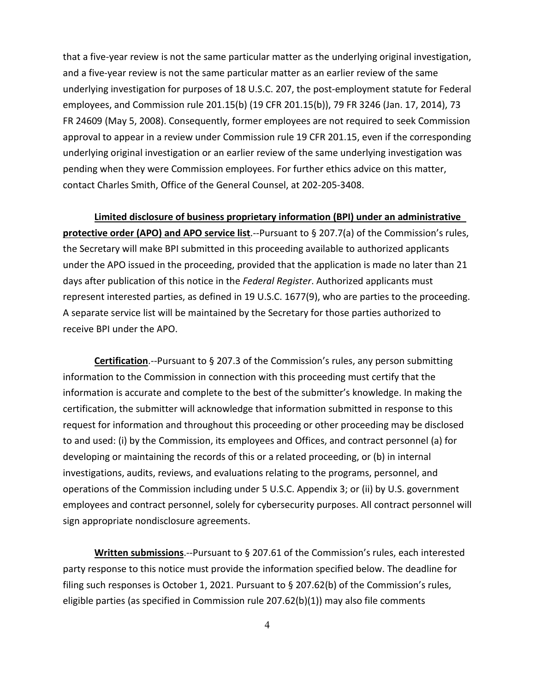that a five-year review is not the same particular matter as the underlying original investigation, and a five-year review is not the same particular matter as an earlier review of the same underlying investigation for purposes of 18 U.S.C. 207, the post-employment statute for Federal employees, and Commission rule 201.15(b) (19 CFR 201.15(b)), 79 FR 3246 (Jan. 17, 2014), 73 FR 24609 (May 5, 2008). Consequently, former employees are not required to seek Commission approval to appear in a review under Commission rule 19 CFR 201.15, even if the corresponding underlying original investigation or an earlier review of the same underlying investigation was pending when they were Commission employees. For further ethics advice on this matter, contact Charles Smith, Office of the General Counsel, at 202-205-3408.

**Limited disclosure of business proprietary information (BPI) under an administrative protective order (APO) and APO service list**.--Pursuant to § 207.7(a) of the Commission's rules, the Secretary will make BPI submitted in this proceeding available to authorized applicants under the APO issued in the proceeding, provided that the application is made no later than 21 days after publication of this notice in the *Federal Register*. Authorized applicants must represent interested parties, as defined in 19 U.S.C. 1677(9), who are parties to the proceeding. A separate service list will be maintained by the Secretary for those parties authorized to receive BPI under the APO.

**Certification**.--Pursuant to § 207.3 of the Commission's rules, any person submitting information to the Commission in connection with this proceeding must certify that the information is accurate and complete to the best of the submitter's knowledge. In making the certification, the submitter will acknowledge that information submitted in response to this request for information and throughout this proceeding or other proceeding may be disclosed to and used: (i) by the Commission, its employees and Offices, and contract personnel (a) for developing or maintaining the records of this or a related proceeding, or (b) in internal investigations, audits, reviews, and evaluations relating to the programs, personnel, and operations of the Commission including under 5 U.S.C. Appendix 3; or (ii) by U.S. government employees and contract personnel, solely for cybersecurity purposes. All contract personnel will sign appropriate nondisclosure agreements.

**Written submissions**.--Pursuant to § 207.61 of the Commission's rules, each interested party response to this notice must provide the information specified below. The deadline for filing such responses is October 1, 2021. Pursuant to § 207.62(b) of the Commission's rules, eligible parties (as specified in Commission rule 207.62(b)(1)) may also file comments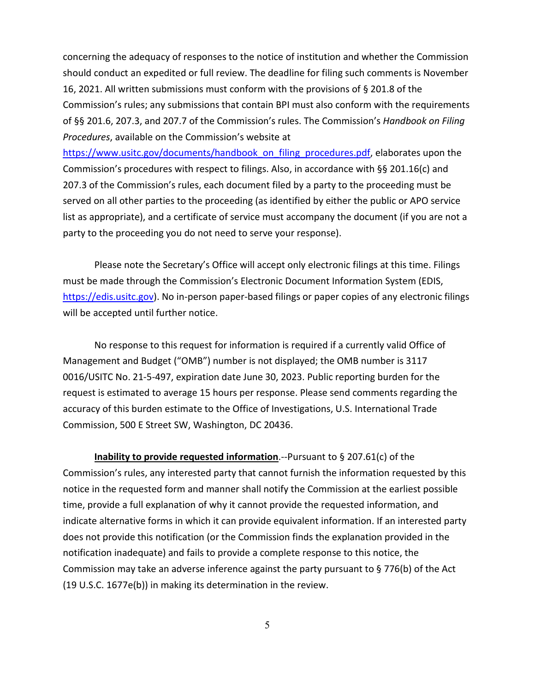concerning the adequacy of responses to the notice of institution and whether the Commission should conduct an expedited or full review. The deadline for filing such comments is November 16, 2021. All written submissions must conform with the provisions of § 201.8 of the Commission's rules; any submissions that contain BPI must also conform with the requirements of §§ 201.6, 207.3, and 207.7 of the Commission's rules. The Commission's *Handbook on Filing Procedures*, available on the Commission's website at

[https://www.usitc.gov/documents/handbook\\_on\\_filing\\_procedures.pdf,](https://www.usitc.gov/documents/handbook_on_filing_procedures.pdf) elaborates upon the Commission's procedures with respect to filings. Also, in accordance with §§ 201.16(c) and 207.3 of the Commission's rules, each document filed by a party to the proceeding must be served on all other parties to the proceeding (as identified by either the public or APO service list as appropriate), and a certificate of service must accompany the document (if you are not a party to the proceeding you do not need to serve your response).

Please note the Secretary's Office will accept only electronic filings at this time. Filings must be made through the Commission's Electronic Document Information System (EDIS, [https://edis.usitc.gov\)](https://edis.usitc.gov/). No in-person paper-based filings or paper copies of any electronic filings will be accepted until further notice.

No response to this request for information is required if a currently valid Office of Management and Budget ("OMB") number is not displayed; the OMB number is 3117 0016/USITC No. 21-5-497, expiration date June 30, 2023. Public reporting burden for the request is estimated to average 15 hours per response. Please send comments regarding the accuracy of this burden estimate to the Office of Investigations, U.S. International Trade Commission, 500 E Street SW, Washington, DC 20436.

**Inability to provide requested information**.--Pursuant to § 207.61(c) of the Commission's rules, any interested party that cannot furnish the information requested by this notice in the requested form and manner shall notify the Commission at the earliest possible time, provide a full explanation of why it cannot provide the requested information, and indicate alternative forms in which it can provide equivalent information. If an interested party does not provide this notification (or the Commission finds the explanation provided in the notification inadequate) and fails to provide a complete response to this notice, the Commission may take an adverse inference against the party pursuant to § 776(b) of the Act (19 U.S.C. 1677e(b)) in making its determination in the review.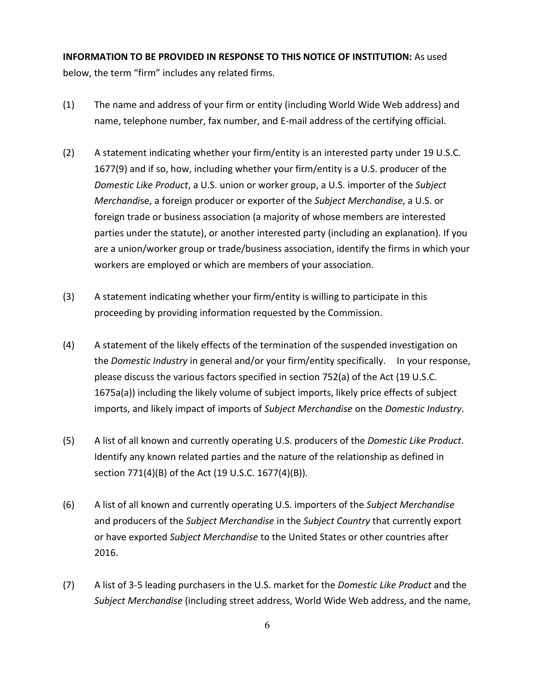**INFORMATION TO BE PROVIDED IN RESPONSE TO THIS NOTICE OF INSTITUTION:** As used below, the term "firm" includes any related firms.

- (1) The name and address of your firm or entity (including World Wide Web address) and name, telephone number, fax number, and E-mail address of the certifying official.
- (2) A statement indicating whether your firm/entity is an interested party under 19 U.S.C. 1677(9) and if so, how, including whether your firm/entity is a U.S. producer of the *Domestic Like Product*, a U.S. union or worker group, a U.S. importer of the *Subject Merchandi*se, a foreign producer or exporter of the *Subject Merchandise*, a U.S. or foreign trade or business association (a majority of whose members are interested parties under the statute), or another interested party (including an explanation). If you are a union/worker group or trade/business association, identify the firms in which your workers are employed or which are members of your association.
- (3) A statement indicating whether your firm/entity is willing to participate in this proceeding by providing information requested by the Commission.
- (4) A statement of the likely effects of the termination of the suspended investigation on the *Domestic Industry* in general and/or your firm/entity specifically. In your response, please discuss the various factors specified in section 752(a) of the Act (19 U.S.C. 1675a(a)) including the likely volume of subject imports, likely price effects of subject imports, and likely impact of imports of *Subject Merchandise* on the *Domestic Industry*.
- (5) A list of all known and currently operating U.S. producers of the *Domestic Like Product*. Identify any known related parties and the nature of the relationship as defined in section 771(4)(B) of the Act (19 U.S.C. 1677(4)(B)).
- (6) A list of all known and currently operating U.S. importers of the *Subject Merchandise* and producers of the *Subject Merchandise* in the *Subject Country* that currently export or have exported *Subject Merchandise* to the United States or other countries after 2016.
- (7) A list of 3-5 leading purchasers in the U.S. market for the *Domestic Like Product* and the *Subject Merchandise* (including street address, World Wide Web address, and the name,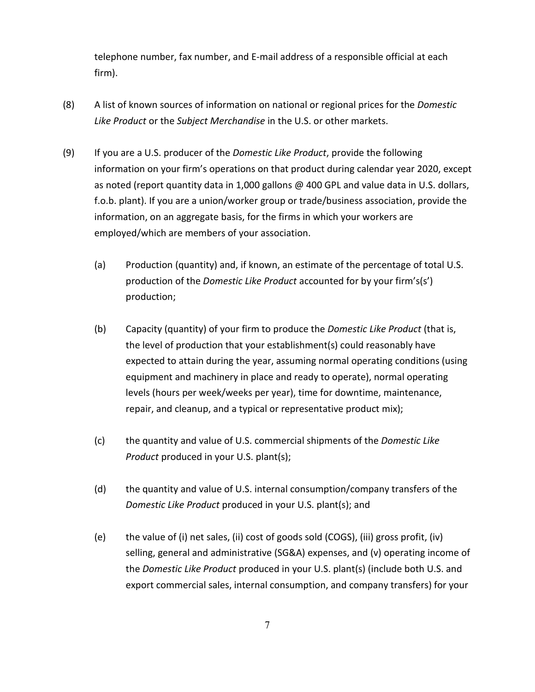telephone number, fax number, and E-mail address of a responsible official at each firm).

- (8) A list of known sources of information on national or regional prices for the *Domestic Like Product* or the *Subject Merchandise* in the U.S. or other markets.
- (9) If you are a U.S. producer of the *Domestic Like Product*, provide the following information on your firm's operations on that product during calendar year 2020, except as noted (report quantity data in 1,000 gallons @ 400 GPL and value data in U.S. dollars, f.o.b. plant). If you are a union/worker group or trade/business association, provide the information, on an aggregate basis, for the firms in which your workers are employed/which are members of your association.
	- (a) Production (quantity) and, if known, an estimate of the percentage of total U.S. production of the *Domestic Like Product* accounted for by your firm's(s') production;
	- (b) Capacity (quantity) of your firm to produce the *Domestic Like Product* (that is, the level of production that your establishment(s) could reasonably have expected to attain during the year, assuming normal operating conditions (using equipment and machinery in place and ready to operate), normal operating levels (hours per week/weeks per year), time for downtime, maintenance, repair, and cleanup, and a typical or representative product mix);
	- (c) the quantity and value of U.S. commercial shipments of the *Domestic Like Product* produced in your U.S. plant(s);
	- (d) the quantity and value of U.S. internal consumption/company transfers of the *Domestic Like Product* produced in your U.S. plant(s); and
	- (e) the value of (i) net sales, (ii) cost of goods sold (COGS), (iii) gross profit, (iv) selling, general and administrative (SG&A) expenses, and (v) operating income of the *Domestic Like Product* produced in your U.S. plant(s) (include both U.S. and export commercial sales, internal consumption, and company transfers) for your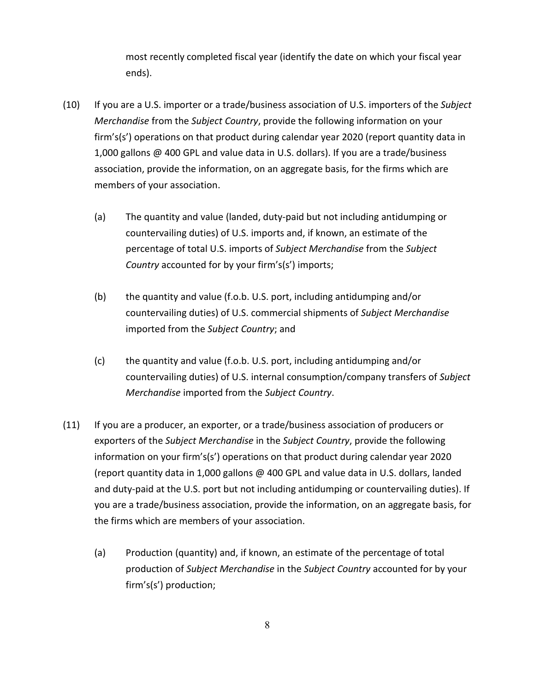most recently completed fiscal year (identify the date on which your fiscal year ends).

- (10) If you are a U.S. importer or a trade/business association of U.S. importers of the *Subject Merchandise* from the *Subject Country*, provide the following information on your firm's(s') operations on that product during calendar year 2020 (report quantity data in 1,000 gallons @ 400 GPL and value data in U.S. dollars). If you are a trade/business association, provide the information, on an aggregate basis, for the firms which are members of your association.
	- (a) The quantity and value (landed, duty-paid but not including antidumping or countervailing duties) of U.S. imports and, if known, an estimate of the percentage of total U.S. imports of *Subject Merchandise* from the *Subject Country* accounted for by your firm's(s') imports;
	- (b) the quantity and value (f.o.b. U.S. port, including antidumping and/or countervailing duties) of U.S. commercial shipments of *Subject Merchandise* imported from the *Subject Country*; and
	- (c) the quantity and value (f.o.b. U.S. port, including antidumping and/or countervailing duties) of U.S. internal consumption/company transfers of *Subject Merchandise* imported from the *Subject Country*.
- (11) If you are a producer, an exporter, or a trade/business association of producers or exporters of the *Subject Merchandise* in the *Subject Country*, provide the following information on your firm's(s') operations on that product during calendar year 2020 (report quantity data in 1,000 gallons @ 400 GPL and value data in U.S. dollars, landed and duty-paid at the U.S. port but not including antidumping or countervailing duties). If you are a trade/business association, provide the information, on an aggregate basis, for the firms which are members of your association.
	- (a) Production (quantity) and, if known, an estimate of the percentage of total production of *Subject Merchandise* in the *Subject Country* accounted for by your firm's(s') production;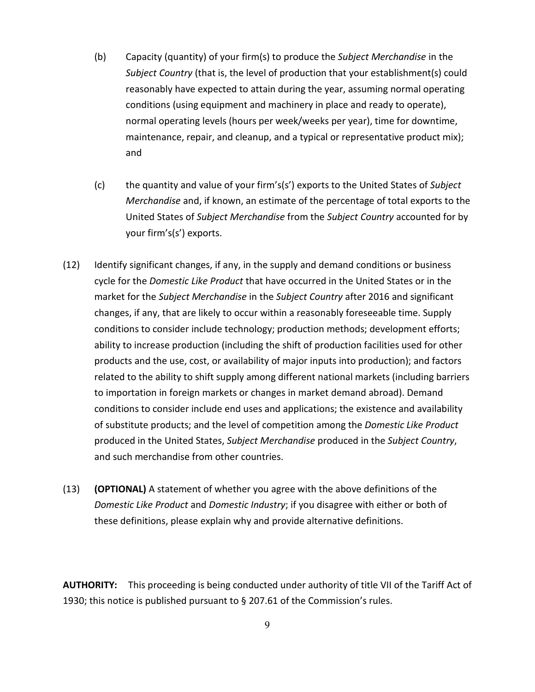- (b) Capacity (quantity) of your firm(s) to produce the *Subject Merchandise* in the *Subject Country* (that is, the level of production that your establishment(s) could reasonably have expected to attain during the year, assuming normal operating conditions (using equipment and machinery in place and ready to operate), normal operating levels (hours per week/weeks per year), time for downtime, maintenance, repair, and cleanup, and a typical or representative product mix); and
- (c) the quantity and value of your firm's(s') exports to the United States of *Subject Merchandise* and, if known, an estimate of the percentage of total exports to the United States of *Subject Merchandise* from the *Subject Country* accounted for by your firm's(s') exports.
- (12) Identify significant changes, if any, in the supply and demand conditions or business cycle for the *Domestic Like Product* that have occurred in the United States or in the market for the *Subject Merchandise* in the *Subject Country* after 2016 and significant changes, if any, that are likely to occur within a reasonably foreseeable time. Supply conditions to consider include technology; production methods; development efforts; ability to increase production (including the shift of production facilities used for other products and the use, cost, or availability of major inputs into production); and factors related to the ability to shift supply among different national markets (including barriers to importation in foreign markets or changes in market demand abroad). Demand conditions to consider include end uses and applications; the existence and availability of substitute products; and the level of competition among the *Domestic Like Product* produced in the United States, *Subject Merchandise* produced in the *Subject Country*, and such merchandise from other countries.
- (13) **(OPTIONAL)** A statement of whether you agree with the above definitions of the *Domestic Like Product* and *Domestic Industry*; if you disagree with either or both of these definitions, please explain why and provide alternative definitions.

**AUTHORITY:** This proceeding is being conducted under authority of title VII of the Tariff Act of 1930; this notice is published pursuant to § 207.61 of the Commission's rules.